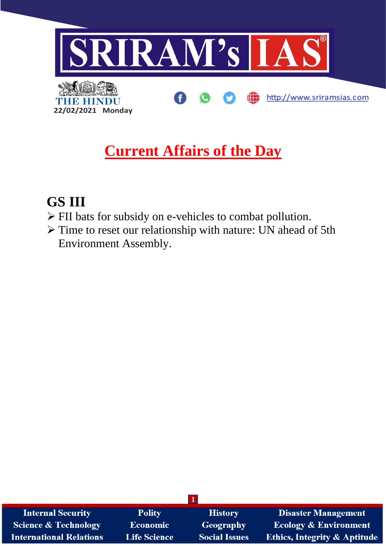

# **Current Affairs of the Day**

## **GS III**

- ➢ FII bats for subsidy on e-vehicles to combat pollution.
- ➢ Time to reset our relationship with nature: UN ahead of 5th Environment Assembly.

| <b>Internal Security</b>       | <b>Polity</b>       | <b>History</b>       | <b>Disaster Management</b>              |
|--------------------------------|---------------------|----------------------|-----------------------------------------|
| Science & Technology           | <b>Economic</b>     | <b>Geography</b>     | <b>Ecology &amp; Environment</b>        |
| <b>International Relations</b> | <b>Life Science</b> | <b>Social Issues</b> | <b>Ethics, Integrity &amp; Aptitude</b> |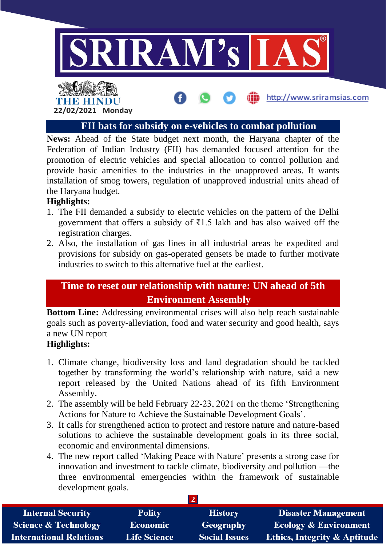

## **FII bats for subsidy on e-vehicles to combat pollution**

**News:** Ahead of the State budget next month, the Haryana chapter of the Federation of Indian Industry (FII) has demanded focused attention for the promotion of electric vehicles and special allocation to control pollution and provide basic amenities to the industries in the unapproved areas. It wants installation of smog towers, regulation of unapproved industrial units ahead of the Haryana budget.

#### **Highlights:**

**22/02/2021 Monday**

- 1. The FII demanded a subsidy to electric vehicles on the pattern of the Delhi government that offers a subsidy of ₹1.5 lakh and has also waived off the registration charges.
- 2. Also, the installation of gas lines in all industrial areas be expedited and provisions for subsidy on gas-operated gensets be made to further motivate industries to switch to this alternative fuel at the earliest.

## **Time to reset our relationship with nature: UN ahead of 5th Environment Assembly**

**Bottom Line:** Addressing environmental crises will also help reach sustainable goals such as poverty-alleviation, food and water security and good health, says a new UN report

#### **Highlights:**

- 1. Climate change, biodiversity loss and land degradation should be tackled together by transforming the world's relationship with nature, said a new report released by the United Nations ahead of its fifth Environment Assembly.
- 2. The assembly will be held February 22-23, 2021 on the theme 'Strengthening Actions for Nature to Achieve the Sustainable Development Goals'.
- 3. It calls for strengthened action to protect and restore nature and nature-based solutions to achieve the sustainable development goals in its three social, economic and environmental dimensions.
- 4. The new report called 'Making Peace with Nature' presents a strong case for innovation and investment to tackle climate, biodiversity and pollution —the three environmental emergencies within the framework of sustainable development goals.

| <b>Internal Security</b>        | <b>Polity</b>       | <b>History</b>       | <b>Disaster Management</b>              |  |  |  |
|---------------------------------|---------------------|----------------------|-----------------------------------------|--|--|--|
| <b>Science &amp; Technology</b> | <b>Economic</b>     | Geography            | <b>Ecology &amp; Environment</b>        |  |  |  |
| <b>International Relations</b>  | <b>Life Science</b> | <b>Social Issues</b> | <b>Ethics, Integrity &amp; Aptitude</b> |  |  |  |

**2**